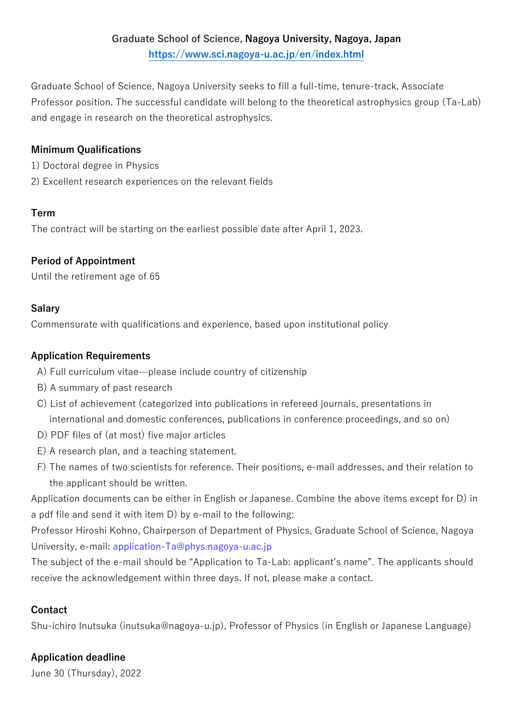Graduate School of Science, Nagoya University seeks to fill a full-time, tenure-track, Associate Professor position. The successful candidate will belong to the theoretical astrophysics group (Ta-Lab) and engage in research on the theoretical astrophysics.

#### **Minimum Qualifications**

- 1) Doctoral degree in Physics
- 2) Excellent research experiences on the relevant fields

### **Term**

The contract will be starting on the earliest possible date after April 1, 2023.

# **Period of Appointment**

Until the retirement age of 65

# **Salary**

Commensurate with qualifications and experience, based upon institutional policy

### **Application Requirements**

- A) Full curriculum vitae—please include country of citizenship
- B) A summary of past research
- C) List of achievement (categorized into publications in refereed journals, presentations in international and domestic conferences, publications in conference proceedings, and so on)
- D) PDF files of (at most) five major articles
- E) A research plan, and a teaching statement.
- F) The names of two scientists for reference. Their positions, e-mail addresses, and their relation to the applicant should be written.

Application documents can be either in English or Japanese. Combine the above items except for D) in a pdf file and send it with item D) by e-mail to the following:

Professor Hiroshi Kohno, Chairperson of Department of Physics, Graduate School of Science, Nagoya University, e-mail: application-Ta@phys.nagoya-u.ac.jp

The subject of the e-mail should be "Application to Ta-Lab: applicant's name". The applicants should receive the acknowledgement within three days. If not, please make a contact.

# **Contact**

Shu-ichiro Inutsuka (inutsuka@nagoya-u.jp), Professor of Physics (in English or Japanese Language)

# **Application deadline**

June 30 (Thursday), 2022